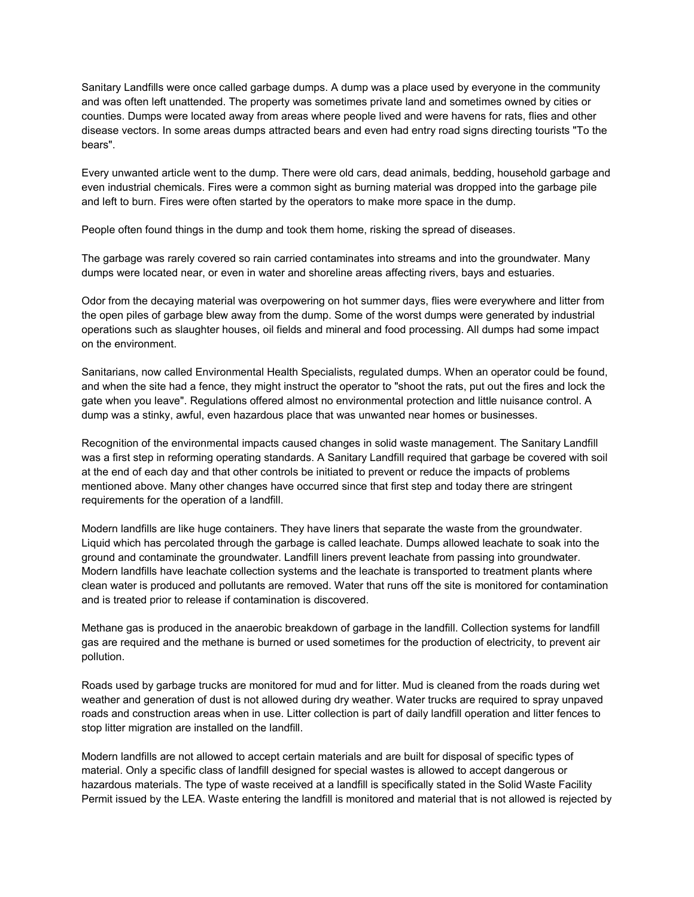Sanitary Landfills were once called garbage dumps. A dump was a place used by everyone in the community and was often left unattended. The property was sometimes private land and sometimes owned by cities or counties. Dumps were located away from areas where people lived and were havens for rats, flies and other disease vectors. In some areas dumps attracted bears and even had entry road signs directing tourists "To the bears".

Every unwanted article went to the dump. There were old cars, dead animals, bedding, household garbage and even industrial chemicals. Fires were a common sight as burning material was dropped into the garbage pile and left to burn. Fires were often started by the operators to make more space in the dump.

People often found things in the dump and took them home, risking the spread of diseases.

The garbage was rarely covered so rain carried contaminates into streams and into the groundwater. Many dumps were located near, or even in water and shoreline areas affecting rivers, bays and estuaries.

Odor from the decaying material was overpowering on hot summer days, flies were everywhere and litter from the open piles of garbage blew away from the dump. Some of the worst dumps were generated by industrial operations such as slaughter houses, oil fields and mineral and food processing. All dumps had some impact on the environment.

Sanitarians, now called Environmental Health Specialists, regulated dumps. When an operator could be found, and when the site had a fence, they might instruct the operator to "shoot the rats, put out the fires and lock the gate when you leave". Regulations offered almost no environmental protection and little nuisance control. A dump was a stinky, awful, even hazardous place that was unwanted near homes or businesses.

Recognition of the environmental impacts caused changes in solid waste management. The Sanitary Landfill was a first step in reforming operating standards. A Sanitary Landfill required that garbage be covered with soil at the end of each day and that other controls be initiated to prevent or reduce the impacts of problems mentioned above. Many other changes have occurred since that first step and today there are stringent requirements for the operation of a landfill.

Modern landfills are like huge containers. They have liners that separate the waste from the groundwater. Liquid which has percolated through the garbage is called leachate. Dumps allowed leachate to soak into the ground and contaminate the groundwater. Landfill liners prevent leachate from passing into groundwater. Modern landfills have leachate collection systems and the leachate is transported to treatment plants where clean water is produced and pollutants are removed. Water that runs off the site is monitored for contamination and is treated prior to release if contamination is discovered.

Methane gas is produced in the anaerobic breakdown of garbage in the landfill. Collection systems for landfill gas are required and the methane is burned or used sometimes for the production of electricity, to prevent air pollution.

Roads used by garbage trucks are monitored for mud and for litter. Mud is cleaned from the roads during wet weather and generation of dust is not allowed during dry weather. Water trucks are required to spray unpaved roads and construction areas when in use. Litter collection is part of daily landfill operation and litter fences to stop litter migration are installed on the landfill.

Modern landfills are not allowed to accept certain materials and are built for disposal of specific types of material. Only a specific class of landfill designed for special wastes is allowed to accept dangerous or hazardous materials. The type of waste received at a landfill is specifically stated in the Solid Waste Facility Permit issued by the LEA. Waste entering the landfill is monitored and material that is not allowed is rejected by